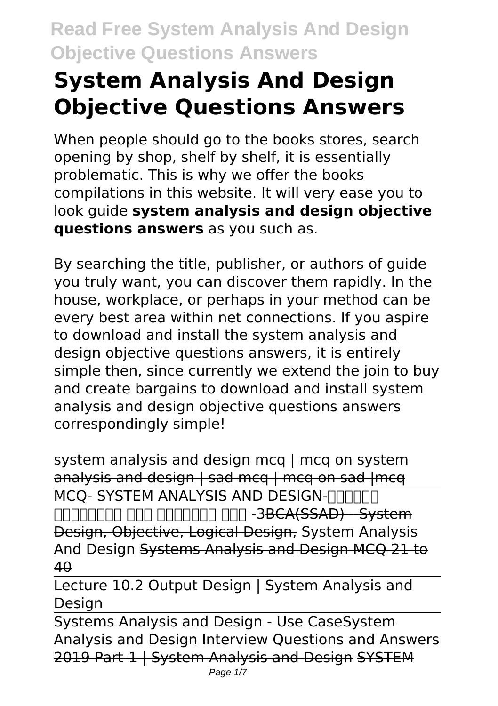# **System Analysis And Design Objective Questions Answers**

When people should go to the books stores, search opening by shop, shelf by shelf, it is essentially problematic. This is why we offer the books compilations in this website. It will very ease you to look guide **system analysis and design objective questions answers** as you such as.

By searching the title, publisher, or authors of guide you truly want, you can discover them rapidly. In the house, workplace, or perhaps in your method can be every best area within net connections. If you aspire to download and install the system analysis and design objective questions answers, it is entirely simple then, since currently we extend the join to buy and create bargains to download and install system analysis and design objective questions answers correspondingly simple!

system analysis and design mcq | mcq on system analysis and design  $|$  sad mcq  $|$  mcq on sad  $|$ mcq MCO- SYSTEM ANALYSIS AND DESIGN-FIFITING nnnnnnnn nnn nnnnnnn nnn -3BCA(SSAD) - System Design, Objective, Logical Design, System Analysis And Design Systems Analysis and Design MCQ 21 to 40

Lecture 10.2 Output Design | System Analysis and Design

Systems Analysis and Design - Use CaseSystem Analysis and Design Interview Questions and Answers 2019 Part-1 | System Analysis and Design SYSTEM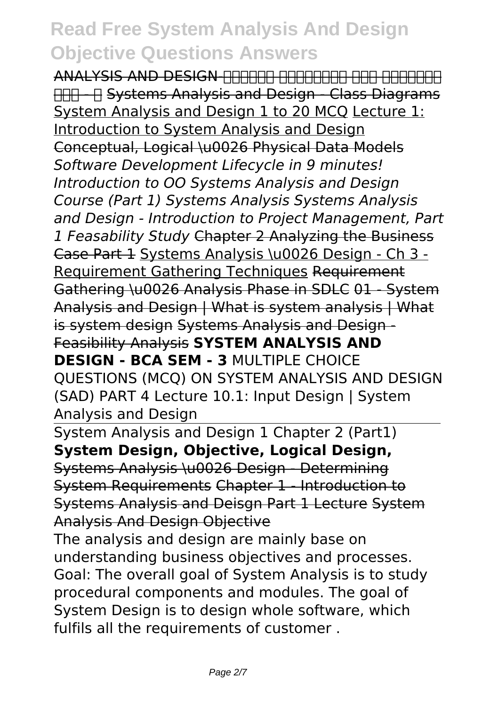ANALYSIS AND DESIGN-सिस्टम एनालिसिस एंड डिज़ाइन भाग - १ Systems Analysis and Design - Class Diagrams System Analysis and Design 1 to 20 MCQ Lecture 1: Introduction to System Analysis and Design Conceptual, Logical \u0026 Physical Data Models *Software Development Lifecycle in 9 minutes! Introduction to OO Systems Analysis and Design Course (Part 1) Systems Analysis Systems Analysis and Design - Introduction to Project Management, Part 1 Feasability Study* Chapter 2 Analyzing the Business Case Part 1 Systems Analysis \u0026 Design - Ch 3 - Requirement Gathering Techniques Requirement Gathering \u0026 Analysis Phase in SDLC 01 - System Analysis and Design | What is system analysis | What is system design Systems Analysis and Design - Feasibility Analysis **SYSTEM ANALYSIS AND DESIGN - BCA SEM - 3 MULTIPLE CHOICE** QUESTIONS (MCQ) ON SYSTEM ANALYSIS AND DESIGN (SAD) PART 4 Lecture 10.1: Input Design | System Analysis and Design

System Analysis and Design 1 Chapter 2 (Part1) **System Design, Objective, Logical Design,** Systems Analysis \u0026 Design - Determining System Requirements Chapter 1 - Introduction to Systems Analysis and Deisgn Part 1 Lecture System Analysis And Design Objective

The analysis and design are mainly base on understanding business objectives and processes. Goal: The overall goal of System Analysis is to study procedural components and modules. The goal of System Design is to design whole software, which fulfils all the requirements of customer .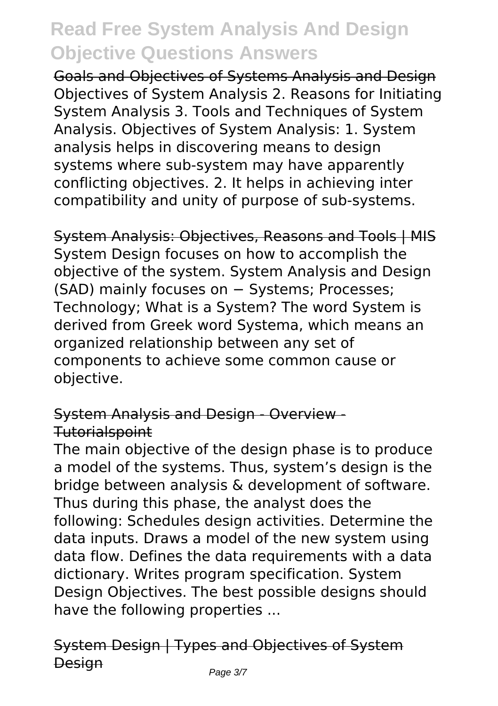Goals and Objectives of Systems Analysis and Design Objectives of System Analysis 2. Reasons for Initiating System Analysis 3. Tools and Techniques of System Analysis. Objectives of System Analysis: 1. System analysis helps in discovering means to design systems where sub-system may have apparently conflicting objectives. 2. It helps in achieving inter compatibility and unity of purpose of sub-systems.

System Analysis: Objectives, Reasons and Tools | MIS System Design focuses on how to accomplish the objective of the system. System Analysis and Design (SAD) mainly focuses on − Systems; Processes; Technology; What is a System? The word System is derived from Greek word Systema, which means an organized relationship between any set of components to achieve some common cause or objective.

### System Analysis and Design - Overview - Tutorialspoint

The main objective of the design phase is to produce a model of the systems. Thus, system's design is the bridge between analysis & development of software. Thus during this phase, the analyst does the following: Schedules design activities. Determine the data inputs. Draws a model of the new system using data flow. Defines the data requirements with a data dictionary. Writes program specification. System Design Objectives. The best possible designs should have the following properties ...

# System Design | Types and Objectives of System **Design**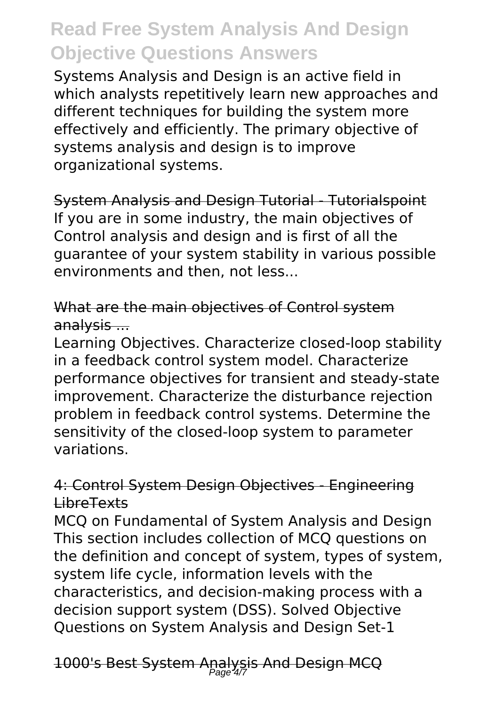Systems Analysis and Design is an active field in which analysts repetitively learn new approaches and different techniques for building the system more effectively and efficiently. The primary objective of systems analysis and design is to improve organizational systems.

System Analysis and Design Tutorial - Tutorialspoint If you are in some industry, the main objectives of Control analysis and design and is first of all the guarantee of your system stability in various possible environments and then, not less...

### What are the main objectives of Control system analysis ...

Learning Objectives. Characterize closed-loop stability in a feedback control system model. Characterize performance objectives for transient and steady-state improvement. Characterize the disturbance rejection problem in feedback control systems. Determine the sensitivity of the closed-loop system to parameter variations.

### 4: Control System Design Objectives - Engineering LibreTexts

MCQ on Fundamental of System Analysis and Design This section includes collection of MCQ questions on the definition and concept of system, types of system, system life cycle, information levels with the characteristics, and decision-making process with a decision support system (DSS). Solved Objective Questions on System Analysis and Design Set-1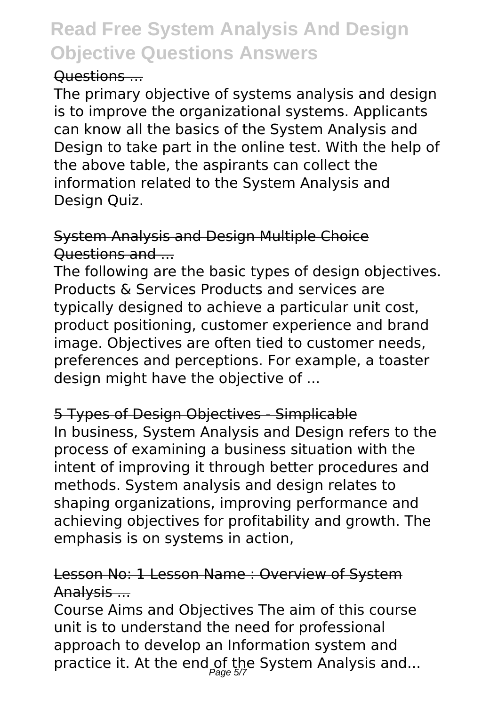#### Questions ...

The primary objective of systems analysis and design is to improve the organizational systems. Applicants can know all the basics of the System Analysis and Design to take part in the online test. With the help of the above table, the aspirants can collect the information related to the System Analysis and Design Quiz.

### System Analysis and Design Multiple Choice Questions and ...

The following are the basic types of design objectives. Products & Services Products and services are typically designed to achieve a particular unit cost, product positioning, customer experience and brand image. Objectives are often tied to customer needs, preferences and perceptions. For example, a toaster design might have the objective of ...

#### 5 Types of Design Objectives - Simplicable

In business, System Analysis and Design refers to the process of examining a business situation with the intent of improving it through better procedures and methods. System analysis and design relates to shaping organizations, improving performance and achieving objectives for profitability and growth. The emphasis is on systems in action,

### Lesson No: 1 Lesson Name : Overview of System Analysis ...

Course Aims and Objectives The aim of this course unit is to understand the need for professional approach to develop an Information system and practice it. At the end of the System Analysis and...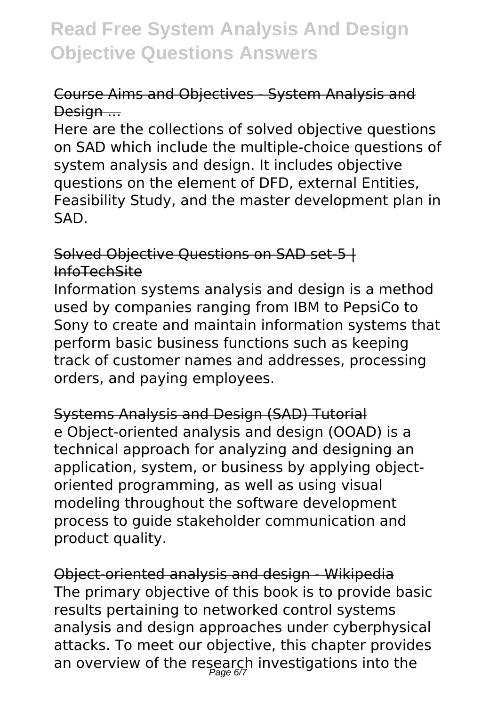## Course Aims and Objectives - System Analysis and Design ...

Here are the collections of solved objective questions on SAD which include the multiple-choice questions of system analysis and design. It includes objective questions on the element of DFD, external Entities, Feasibility Study, and the master development plan in SAD.

### Solved Objective Questions on SAD set-5 | InfoTechSite

Information systems analysis and design is a method used by companies ranging from IBM to PepsiCo to Sony to create and maintain information systems that perform basic business functions such as keeping track of customer names and addresses, processing orders, and paying employees.

Systems Analysis and Design (SAD) Tutorial e Object-oriented analysis and design (OOAD) is a technical approach for analyzing and designing an application, system, or business by applying objectoriented programming, as well as using visual modeling throughout the software development process to guide stakeholder communication and product quality.

Object-oriented analysis and design - Wikipedia The primary objective of this book is to provide basic results pertaining to networked control systems analysis and design approaches under cyberphysical attacks. To meet our objective, this chapter provides an overview of the research investigations into the